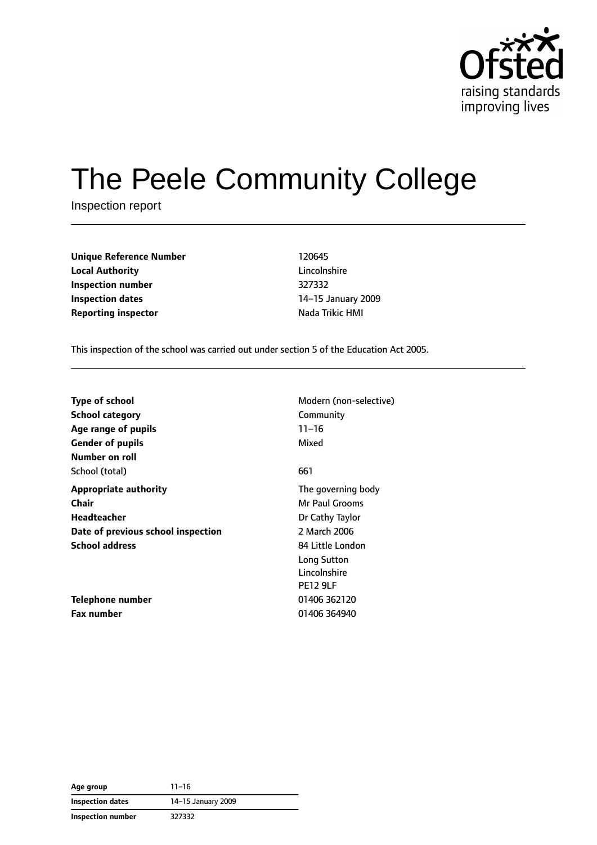

# The Peele Community College

Inspection report

| <b>Unique Reference Number</b> | 120645          |
|--------------------------------|-----------------|
| <b>Local Authority</b>         | Lincolnshire    |
| Inspection number              | 327332          |
| Inspection dates               | 14-15 January 2 |
| <b>Reporting inspector</b>     | Nada Trikic HMI |

**Lincolnshire Inspection number** 327332 **Inspection dates** 14–15 January 2009

This inspection of the school was carried out under section 5 of the Education Act 2005.

|                                    | Modern (non-selective) |
|------------------------------------|------------------------|
| Type of school                     |                        |
| <b>School category</b>             | Community              |
| Age range of pupils                | $11 - 16$              |
| <b>Gender of pupils</b>            | Mixed                  |
| Number on roll                     |                        |
| School (total)                     | 661                    |
| <b>Appropriate authority</b>       | The governing body     |
| Chair                              | Mr Paul Grooms         |
| Headteacher                        | Dr Cathy Taylor        |
| Date of previous school inspection | 2 March 2006           |
| <b>School address</b>              | 84 Little London       |
|                                    | Long Sutton            |
|                                    | Lincolnshire           |
|                                    | <b>PE12 9LF</b>        |
| Telephone number                   | 01406 362120           |
| Fax number                         | 01406 364940           |

| Age group         | $11 - 16$          |
|-------------------|--------------------|
| Inspection dates  | 14-15 January 2009 |
| Inspection number | 327332             |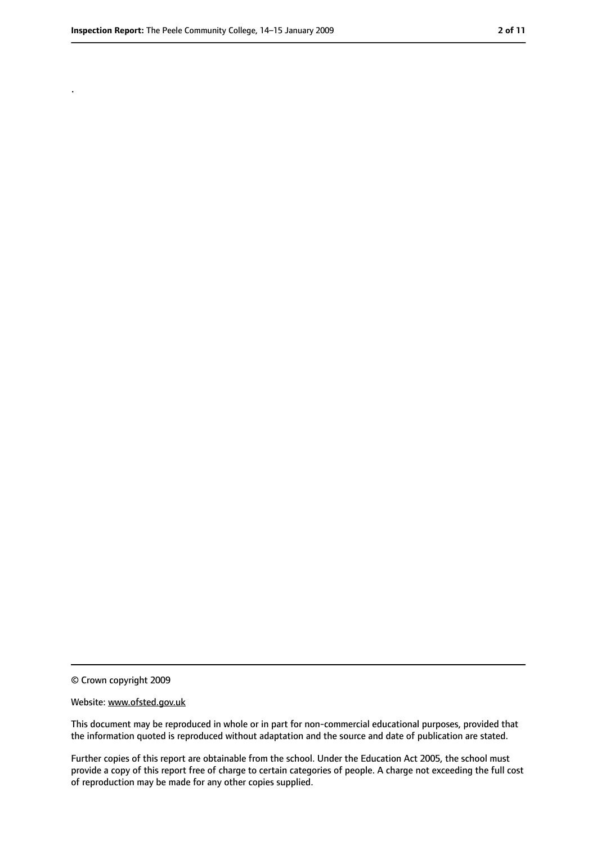.

<sup>©</sup> Crown copyright 2009

Website: www.ofsted.gov.uk

This document may be reproduced in whole or in part for non-commercial educational purposes, provided that the information quoted is reproduced without adaptation and the source and date of publication are stated.

Further copies of this report are obtainable from the school. Under the Education Act 2005, the school must provide a copy of this report free of charge to certain categories of people. A charge not exceeding the full cost of reproduction may be made for any other copies supplied.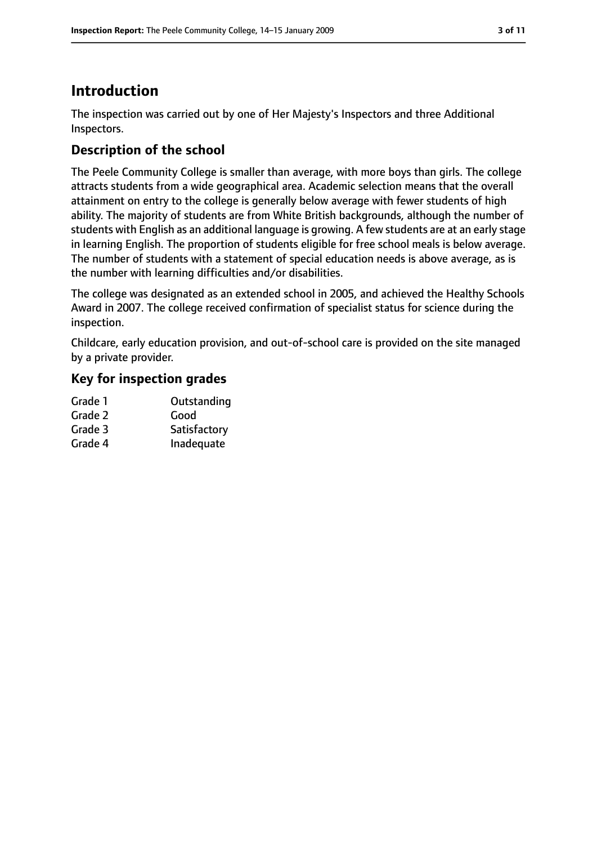# **Introduction**

The inspection was carried out by one of Her Majesty's Inspectors and three Additional Inspectors.

# **Description of the school**

The Peele Community College is smaller than average, with more boys than girls. The college attracts students from a wide geographical area. Academic selection means that the overall attainment on entry to the college is generally below average with fewer students of high ability. The majority of students are from White British backgrounds, although the number of students with English as an additional language is growing. A few students are at an early stage in learning English. The proportion of students eligible for free school meals is below average. The number of students with a statement of special education needs is above average, as is the number with learning difficulties and/or disabilities.

The college was designated as an extended school in 2005, and achieved the Healthy Schools Award in 2007. The college received confirmation of specialist status for science during the inspection.

Childcare, early education provision, and out-of-school care is provided on the site managed by a private provider.

## **Key for inspection grades**

| Grade 1 | Outstanding  |
|---------|--------------|
| Grade 2 | Good         |
| Grade 3 | Satisfactory |
| Grade 4 | Inadequate   |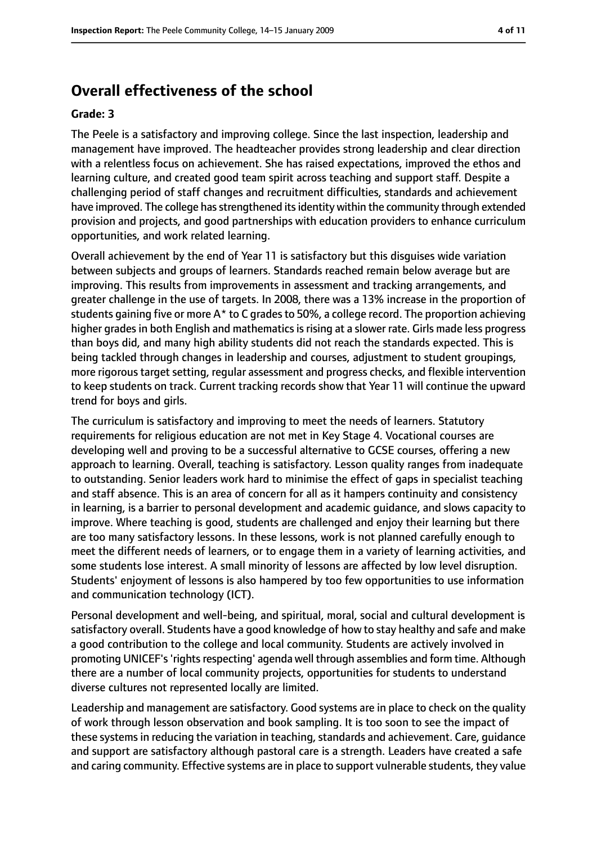## **Overall effectiveness of the school**

#### **Grade: 3**

The Peele is a satisfactory and improving college. Since the last inspection, leadership and management have improved. The headteacher provides strong leadership and clear direction with a relentless focus on achievement. She has raised expectations, improved the ethos and learning culture, and created good team spirit across teaching and support staff. Despite a challenging period of staff changes and recruitment difficulties, standards and achievement have improved. The college has strengthened its identity within the community through extended provision and projects, and good partnerships with education providers to enhance curriculum opportunities, and work related learning.

Overall achievement by the end of Year 11 is satisfactory but this disguises wide variation between subjects and groups of learners. Standards reached remain below average but are improving. This results from improvements in assessment and tracking arrangements, and greater challenge in the use of targets. In 2008, there was a 13% increase in the proportion of students gaining five or more  $A^*$  to C grades to 50%, a college record. The proportion achieving higher grades in both English and mathematics is rising at a slower rate. Girls made less progress than boys did, and many high ability students did not reach the standards expected. This is being tackled through changes in leadership and courses, adjustment to student groupings, more rigorous target setting, regular assessment and progress checks, and flexible intervention to keep students on track. Current tracking records show that Year 11 will continue the upward trend for boys and girls.

The curriculum is satisfactory and improving to meet the needs of learners. Statutory requirements for religious education are not met in Key Stage 4. Vocational courses are developing well and proving to be a successful alternative to GCSE courses, offering a new approach to learning. Overall, teaching is satisfactory. Lesson quality ranges from inadequate to outstanding. Senior leaders work hard to minimise the effect of gaps in specialist teaching and staff absence. This is an area of concern for all as it hampers continuity and consistency in learning, is a barrier to personal development and academic guidance, and slows capacity to improve. Where teaching is good, students are challenged and enjoy their learning but there are too many satisfactory lessons. In these lessons, work is not planned carefully enough to meet the different needs of learners, or to engage them in a variety of learning activities, and some students lose interest. A small minority of lessons are affected by low level disruption. Students' enjoyment of lessons is also hampered by too few opportunities to use information and communication technology (ICT).

Personal development and well-being, and spiritual, moral, social and cultural development is satisfactory overall. Students have a good knowledge of how to stay healthy and safe and make a good contribution to the college and local community. Students are actively involved in promoting UNICEF's 'rights respecting' agenda well through assemblies and form time. Although there are a number of local community projects, opportunities for students to understand diverse cultures not represented locally are limited.

Leadership and management are satisfactory. Good systems are in place to check on the quality of work through lesson observation and book sampling. It is too soon to see the impact of these systems in reducing the variation in teaching, standards and achievement. Care, quidance and support are satisfactory although pastoral care is a strength. Leaders have created a safe and caring community. Effective systems are in place to support vulnerable students, they value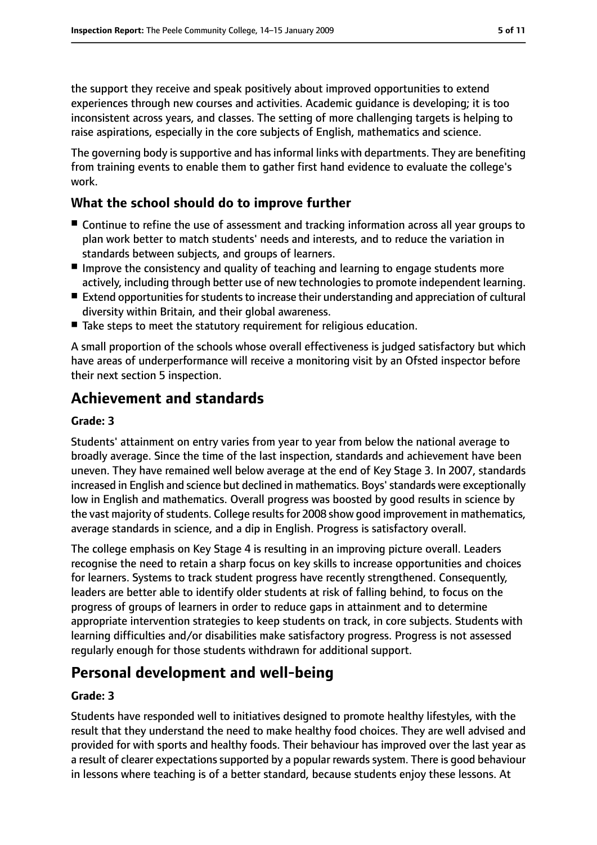the support they receive and speak positively about improved opportunities to extend experiences through new courses and activities. Academic guidance is developing; it is too inconsistent across years, and classes. The setting of more challenging targets is helping to raise aspirations, especially in the core subjects of English, mathematics and science.

The governing body is supportive and has informal links with departments. They are benefiting from training events to enable them to gather first hand evidence to evaluate the college's work.

### **What the school should do to improve further**

- Continue to refine the use of assessment and tracking information across all year groups to plan work better to match students' needs and interests, and to reduce the variation in standards between subjects, and groups of learners.
- Improve the consistency and quality of teaching and learning to engage students more actively, including through better use of new technologies to promote independent learning.
- Extend opportunities for students to increase their understanding and appreciation of cultural diversity within Britain, and their global awareness.
- Take steps to meet the statutory requirement for religious education.

A small proportion of the schools whose overall effectiveness is judged satisfactory but which have areas of underperformance will receive a monitoring visit by an Ofsted inspector before their next section 5 inspection.

# **Achievement and standards**

#### **Grade: 3**

Students' attainment on entry varies from year to year from below the national average to broadly average. Since the time of the last inspection, standards and achievement have been uneven. They have remained well below average at the end of Key Stage 3. In 2007, standards increased in English and science but declined in mathematics. Boys'standards were exceptionally low in English and mathematics. Overall progress was boosted by good results in science by the vast majority of students. College results for 2008 show good improvement in mathematics, average standards in science, and a dip in English. Progress is satisfactory overall.

The college emphasis on Key Stage 4 is resulting in an improving picture overall. Leaders recognise the need to retain a sharp focus on key skills to increase opportunities and choices for learners. Systems to track student progress have recently strengthened. Consequently, leaders are better able to identify older students at risk of falling behind, to focus on the progress of groups of learners in order to reduce gaps in attainment and to determine appropriate intervention strategies to keep students on track, in core subjects. Students with learning difficulties and/or disabilities make satisfactory progress. Progress is not assessed regularly enough for those students withdrawn for additional support.

## **Personal development and well-being**

#### **Grade: 3**

Students have responded well to initiatives designed to promote healthy lifestyles, with the result that they understand the need to make healthy food choices. They are well advised and provided for with sports and healthy foods. Their behaviour has improved over the last year as a result of clearer expectations supported by a popular rewards system. There is good behaviour in lessons where teaching is of a better standard, because students enjoy these lessons. At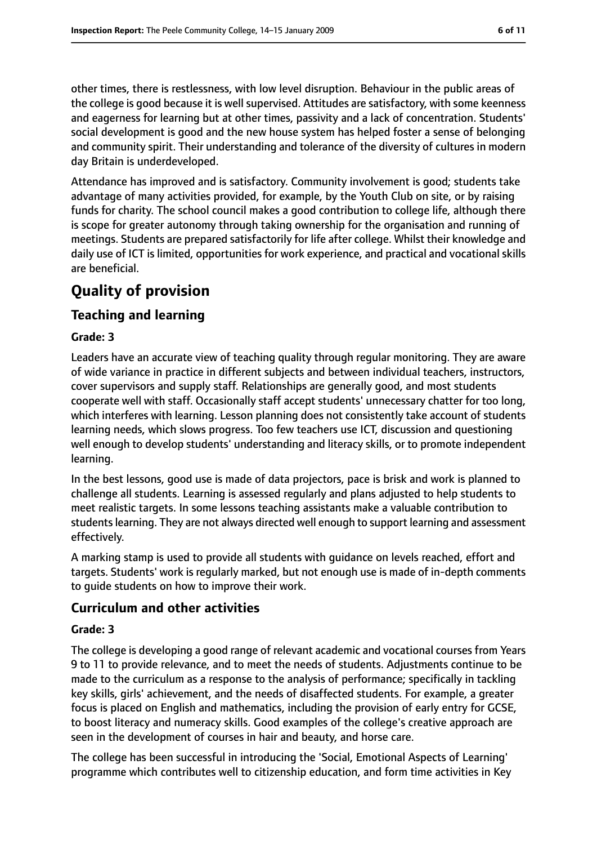other times, there is restlessness, with low level disruption. Behaviour in the public areas of the college is good because it is well supervised. Attitudes are satisfactory, with some keenness and eagerness for learning but at other times, passivity and a lack of concentration. Students' social development is good and the new house system has helped foster a sense of belonging and community spirit. Their understanding and tolerance of the diversity of cultures in modern day Britain is underdeveloped.

Attendance has improved and is satisfactory. Community involvement is good; students take advantage of many activities provided, for example, by the Youth Club on site, or by raising funds for charity. The school council makes a good contribution to college life, although there is scope for greater autonomy through taking ownership for the organisation and running of meetings. Students are prepared satisfactorily for life after college. Whilst their knowledge and daily use of ICT is limited, opportunities for work experience, and practical and vocational skills are beneficial.

# **Quality of provision**

## **Teaching and learning**

#### **Grade: 3**

Leaders have an accurate view of teaching quality through regular monitoring. They are aware of wide variance in practice in different subjects and between individual teachers, instructors, cover supervisors and supply staff. Relationships are generally good, and most students cooperate well with staff. Occasionally staff accept students' unnecessary chatter for too long, which interferes with learning. Lesson planning does not consistently take account of students learning needs, which slows progress. Too few teachers use ICT, discussion and questioning well enough to develop students' understanding and literacy skills, or to promote independent learning.

In the best lessons, good use is made of data projectors, pace is brisk and work is planned to challenge all students. Learning is assessed regularly and plans adjusted to help students to meet realistic targets. In some lessons teaching assistants make a valuable contribution to students learning. They are not always directed well enough to support learning and assessment effectively.

A marking stamp is used to provide all students with guidance on levels reached, effort and targets. Students' work is regularly marked, but not enough use is made of in-depth comments to guide students on how to improve their work.

#### **Curriculum and other activities**

#### **Grade: 3**

The college is developing a good range of relevant academic and vocational courses from Years 9 to 11 to provide relevance, and to meet the needs of students. Adjustments continue to be made to the curriculum as a response to the analysis of performance; specifically in tackling key skills, girls' achievement, and the needs of disaffected students. For example, a greater focus is placed on English and mathematics, including the provision of early entry for GCSE, to boost literacy and numeracy skills. Good examples of the college's creative approach are seen in the development of courses in hair and beauty, and horse care.

The college has been successful in introducing the 'Social, Emotional Aspects of Learning' programme which contributes well to citizenship education, and form time activities in Key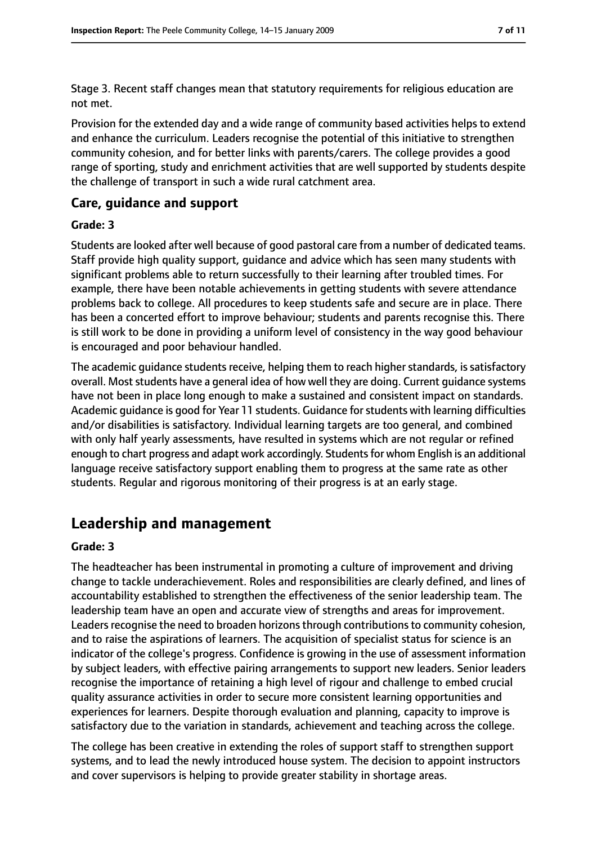Stage 3. Recent staff changes mean that statutory requirements for religious education are not met.

Provision for the extended day and a wide range of community based activities helps to extend and enhance the curriculum. Leaders recognise the potential of this initiative to strengthen community cohesion, and for better links with parents/carers. The college provides a good range of sporting, study and enrichment activities that are well supported by students despite the challenge of transport in such a wide rural catchment area.

#### **Care, guidance and support**

#### **Grade: 3**

Students are looked after well because of good pastoral care from a number of dedicated teams. Staff provide high quality support, guidance and advice which has seen many students with significant problems able to return successfully to their learning after troubled times. For example, there have been notable achievements in getting students with severe attendance problems back to college. All procedures to keep students safe and secure are in place. There has been a concerted effort to improve behaviour; students and parents recognise this. There is still work to be done in providing a uniform level of consistency in the way good behaviour is encouraged and poor behaviour handled.

The academic guidance students receive, helping them to reach higher standards, is satisfactory overall. Most students have a general idea of how well they are doing. Current guidance systems have not been in place long enough to make a sustained and consistent impact on standards. Academic guidance is good for Year 11 students. Guidance forstudents with learning difficulties and/or disabilities is satisfactory. Individual learning targets are too general, and combined with only half yearly assessments, have resulted in systems which are not regular or refined enough to chart progress and adapt work accordingly. Students for whom English is an additional language receive satisfactory support enabling them to progress at the same rate as other students. Regular and rigorous monitoring of their progress is at an early stage.

# **Leadership and management**

#### **Grade: 3**

The headteacher has been instrumental in promoting a culture of improvement and driving change to tackle underachievement. Roles and responsibilities are clearly defined, and lines of accountability established to strengthen the effectiveness of the senior leadership team. The leadership team have an open and accurate view of strengths and areas for improvement. Leaders recognise the need to broaden horizons through contributions to community cohesion, and to raise the aspirations of learners. The acquisition of specialist status for science is an indicator of the college's progress. Confidence is growing in the use of assessment information by subject leaders, with effective pairing arrangements to support new leaders. Senior leaders recognise the importance of retaining a high level of rigour and challenge to embed crucial quality assurance activities in order to secure more consistent learning opportunities and experiences for learners. Despite thorough evaluation and planning, capacity to improve is satisfactory due to the variation in standards, achievement and teaching across the college.

The college has been creative in extending the roles of support staff to strengthen support systems, and to lead the newly introduced house system. The decision to appoint instructors and cover supervisors is helping to provide greater stability in shortage areas.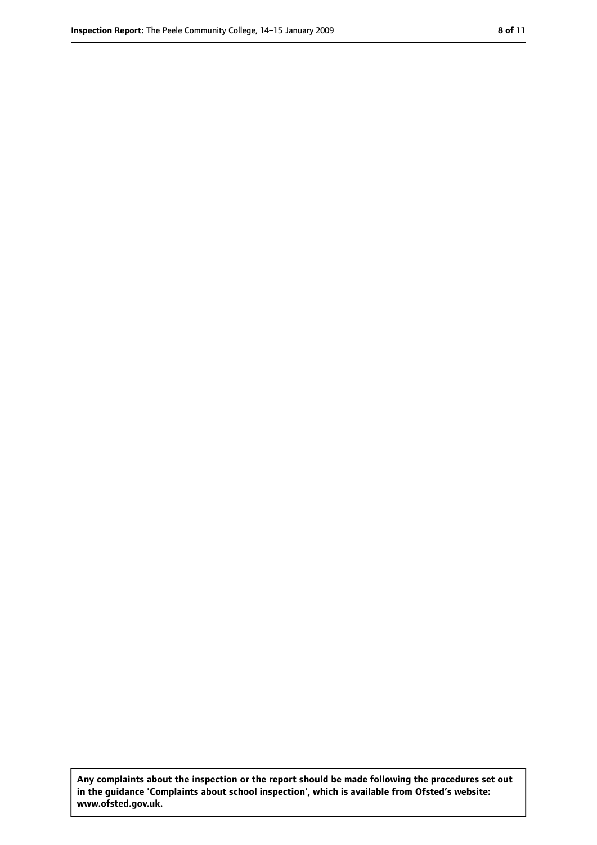**Any complaints about the inspection or the report should be made following the procedures set out in the guidance 'Complaints about school inspection', which is available from Ofsted's website: www.ofsted.gov.uk.**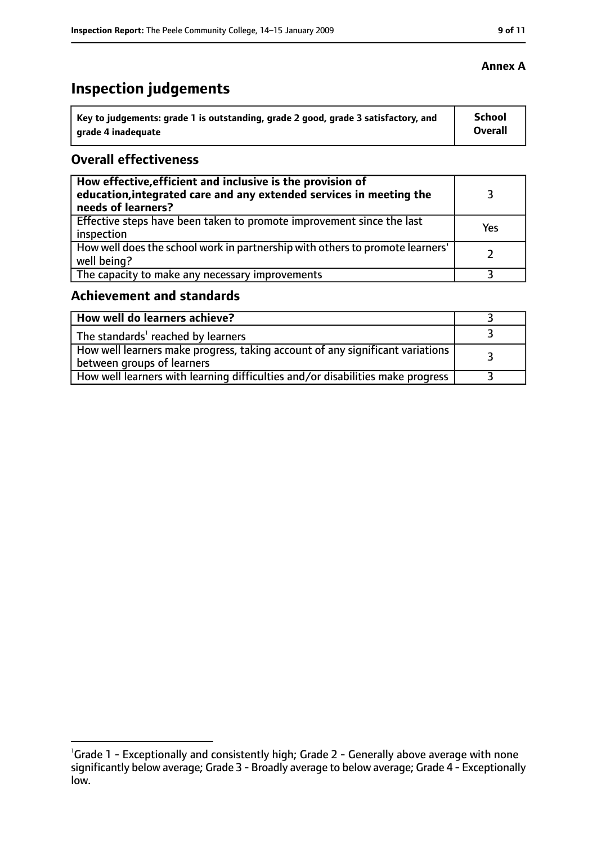# **Inspection judgements**

| Key to judgements: grade 1 is outstanding, grade 2 good, grade 3 satisfactory, and | School         |
|------------------------------------------------------------------------------------|----------------|
| grade 4 inadequate                                                                 | <b>Overall</b> |

#### **Overall effectiveness**

| How effective, efficient and inclusive is the provision of<br>education, integrated care and any extended services in meeting the<br>needs of learners? |     |
|---------------------------------------------------------------------------------------------------------------------------------------------------------|-----|
| Effective steps have been taken to promote improvement since the last<br>inspection                                                                     | Yes |
| How well does the school work in partnership with others to promote learners'<br>well being?                                                            |     |
| The capacity to make any necessary improvements                                                                                                         |     |

# **Achievement and standards**

| How well do learners achieve?                                                                                 |  |
|---------------------------------------------------------------------------------------------------------------|--|
| The standards' reached by learners                                                                            |  |
| How well learners make progress, taking account of any significant variations  <br>between groups of learners |  |
| How well learners with learning difficulties and/or disabilities make progress                                |  |

### **Annex A**

<sup>&</sup>lt;sup>1</sup>Grade 1 - Exceptionally and consistently high; Grade 2 - Generally above average with none significantly below average; Grade 3 - Broadly average to below average; Grade 4 - Exceptionally low.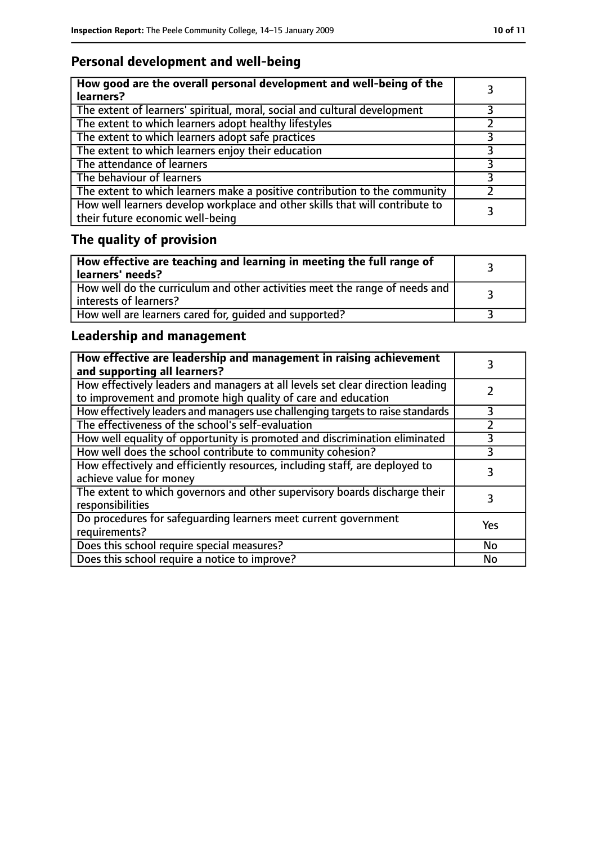# **Personal development and well-being**

| How good are the overall personal development and well-being of the<br>learners?                                 |  |
|------------------------------------------------------------------------------------------------------------------|--|
| The extent of learners' spiritual, moral, social and cultural development                                        |  |
| The extent to which learners adopt healthy lifestyles                                                            |  |
| The extent to which learners adopt safe practices                                                                |  |
| The extent to which learners enjoy their education                                                               |  |
| The attendance of learners                                                                                       |  |
| The behaviour of learners                                                                                        |  |
| The extent to which learners make a positive contribution to the community                                       |  |
| How well learners develop workplace and other skills that will contribute to<br>their future economic well-being |  |

# **The quality of provision**

| How effective are teaching and learning in meeting the full range of<br>learners' needs?                |  |
|---------------------------------------------------------------------------------------------------------|--|
| How well do the curriculum and other activities meet the range of needs and<br>  interests of learners? |  |
| How well are learners cared for, quided and supported?                                                  |  |

## **Leadership and management**

| How effective are leadership and management in raising achievement<br>and supporting all learners?                                              |     |
|-------------------------------------------------------------------------------------------------------------------------------------------------|-----|
| How effectively leaders and managers at all levels set clear direction leading<br>to improvement and promote high quality of care and education |     |
| How effectively leaders and managers use challenging targets to raise standards                                                                 | 3   |
| The effectiveness of the school's self-evaluation                                                                                               |     |
| How well equality of opportunity is promoted and discrimination eliminated                                                                      | 3   |
| How well does the school contribute to community cohesion?                                                                                      | 3   |
| How effectively and efficiently resources, including staff, are deployed to<br>achieve value for money                                          | 3   |
| The extent to which governors and other supervisory boards discharge their<br>responsibilities                                                  |     |
| Do procedures for safequarding learners meet current government<br>requirements?                                                                | Yes |
| Does this school require special measures?                                                                                                      | No  |
| Does this school require a notice to improve?                                                                                                   | No  |